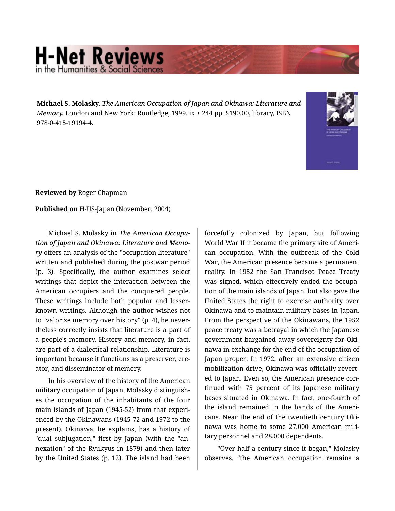## **H-Net Reviews**

**Michael S. Molasky.** *The American Occupation of Japan and Okinawa: Literature and Memory.* London and New York: Routledge, 1999. ix + 244 pp. \$190.00, library, ISBN 978-0-415-19194-4.



**Reviewed by** Roger Chapman

**Published on** H-US-Japan (November, 2004)

Michael S. Molasky in *The American Occupa‐ tion of Japan and Okinawa: Literature and Memo‐ ry* offers an analysis of the "occupation literature" written and published during the postwar period (p. 3). Specifically, the author examines select writings that depict the interaction between the American occupiers and the conquered people. These writings include both popular and lesserknown writings. Although the author wishes not to "valorize memory over history" (p. 4), he never‐ theless correctly insists that literature is a part of a people's memory. History and memory, in fact, are part of a dialectical relationship. Literature is important because it functions as a preserver, creator, and disseminator of memory.

In his overview of the history of the American military occupation of Japan, Molasky distinguish‐ es the occupation of the inhabitants of the four main islands of Japan (1945-52) from that experi‐ enced by the Okinawans (1945-72 and 1972 to the present). Okinawa, he explains, has a history of "dual subjugation," first by Japan (with the "an‐ nexation" of the Ryukyus in 1879) and then later by the United States (p. 12). The island had been

forcefully colonized by Japan, but following World War II it became the primary site of Ameri‐ can occupation. With the outbreak of the Cold War, the American presence became a permanent reality. In 1952 the San Francisco Peace Treaty was signed, which effectively ended the occupa‐ tion of the main islands of Japan, but also gave the United States the right to exercise authority over Okinawa and to maintain military bases in Japan. From the perspective of the Okinawans, the 1952 peace treaty was a betrayal in which the Japanese government bargained away sovereignty for Oki‐ nawa in exchange for the end of the occupation of Japan proper. In 1972, after an extensive citizen mobilization drive, Okinawa was officially revert‐ ed to Japan. Even so, the American presence con‐ tinued with 75 percent of its Japanese military bases situated in Okinawa. In fact, one-fourth of the island remained in the hands of the Ameri‐ cans. Near the end of the twentieth century Oki‐ nawa was home to some 27,000 American mili‐ tary personnel and 28,000 dependents.

"Over half a century since it began," Molasky observes, "the American occupation remains a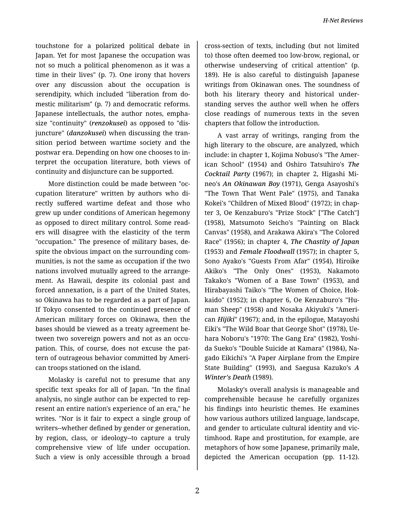touchstone for a polarized political debate in Japan. Yet for most Japanese the occupation was not so much a political phenomenon as it was a time in their lives" (p. 7). One irony that hovers over any discussion about the occupation is serendipity, which included "liberation from do‐ mestic militarism" (p. 7) and democratic reforms. Japanese intellectuals, the author notes, empha‐ size "continuity" (*renzokusei*) as opposed to "dis‐ juncture" (*danzokusei*) when discussing the tran‐ sition period between wartime society and the postwar era. Depending on how one chooses to in‐ terpret the occupation literature, both views of continuity and disjuncture can be supported.

More distinction could be made between "oc‐ cupation literature" written by authors who di‐ rectly suffered wartime defeat and those who grew up under conditions of American hegemony as opposed to direct military control. Some read‐ ers will disagree with the elasticity of the term "occupation." The presence of military bases, de‐ spite the obvious impact on the surrounding com‐ munities, is not the same as occupation if the two nations involved mutually agreed to the arrange‐ ment. As Hawaii, despite its colonial past and forced annexation, is a part of the United States, so Okinawa has to be regarded as a part of Japan. If Tokyo consented to the continued presence of American military forces on Okinawa, then the bases should be viewed as a treaty agreement be‐ tween two sovereign powers and not as an occu‐ pation. This, of course, does not excuse the pat‐ tern of outrageous behavior committed by Ameri‐ can troops stationed on the island.

Molasky is careful not to presume that any specific text speaks for all of Japan. "In the final analysis, no single author can be expected to rep‐ resent an entire nation's experience of an era," he writes. "Nor is it fair to expect a single group of writers--whether defined by gender or generation, by region, class, or ideology--to capture a truly comprehensive view of life under occupation. Such a view is only accessible through a broad

cross-section of texts, including (but not limited to) those often deemed too low-brow, regional, or otherwise undeserving of critical attention" (p. 189). He is also careful to distinguish Japanese writings from Okinawan ones. The soundness of both his literary theory and historical under‐ standing serves the author well when he offers close readings of numerous texts in the seven chapters that follow the introduction.

A vast array of writings, ranging from the high literary to the obscure, are analyzed, which include: in chapter 1, Kojima Nobuso's "The Amer‐ ican School" (1954) and Oshiro Tatsuhiro's *The Cocktail Party* (1967); in chapter 2, Higashi Mi‐ neo's *An Okinawan Boy* (1971), Genga Asayoshi's "The Town That Went Pale" (1975), and Tanaka Kokei's "Children of Mixed Blood" (1972); in chap‐ ter 3, Oe Kenzaburo's "Prize Stock" ["The Catch"] (1958), Matsumoto Seicho's "Painting on Black Canvas" (1958), and Arakawa Akira's "The Colored Race" (1956); in chapter 4, *The Chastity of Japan* (1953) and *Female Floodwall* (1957); in chapter 5, Sono Ayako's "Guests From Afar" (1954), Hiroike Akiko's "The Only Ones" (1953), Nakamoto Takako's "Women of a Base Town" (1953), and Hirabayashi Taiko's "The Women of Choice, Hok‐ kaido" (1952); in chapter 6, Oe Kenzaburo's "Hu‐ man Sheep" (1958) and Nosaka Akiyuki's "Ameri‐ can *Hijiki*" (1967); and, in the epilogue, Matayoshi Eiki's "The Wild Boar that George Shot" (1978), Ue‐ hara Noboru's "1970: The Gang Era" (1982), Yoshi‐ da Sueko's "Double Suicide at Kamara" (1984), Na‐ gado Eikichi's "A Paper Airplane from the Empire State Building" (1993), and Saegusa Kazuko's *A Winter's Death* (1989).

Molasky's overall analysis is manageable and comprehensible because he carefully organizes his findings into heuristic themes. He examines how various authors utilized language, landscape, and gender to articulate cultural identity and vic‐ timhood. Rape and prostitution, for example, are metaphors of how some Japanese, primarily male, depicted the American occupation (pp. 11-12).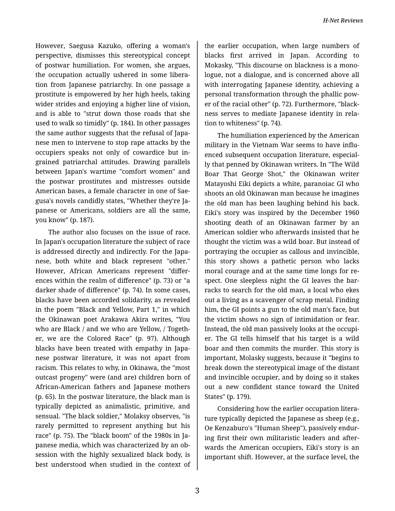However, Saegusa Kazuko, offering a woman's perspective, dismisses this stereotypical concept of postwar humiliation. For women, she argues, the occupation actually ushered in some libera‐ tion from Japanese patriarchy. In one passage a prostitute is empowered by her high heels, taking wider strides and enjoying a higher line of vision, and is able to "strut down those roads that she used to walk so timidly" (p. 184). In other passages the same author suggests that the refusal of Japa‐ nese men to intervene to stop rape attacks by the occupiers speaks not only of cowardice but in‐ grained patriarchal attitudes. Drawing parallels between Japan's wartime "comfort women" and the postwar prostitutes and mistresses outside American bases, a female character in one of Sae‐ gusa's novels candidly states, "Whether they're Ja‐ panese or Americans, soldiers are all the same, you know" (p. 187).

The author also focuses on the issue of race. In Japan's occupation literature the subject of race is addressed directly and indirectly. For the Japa‐ nese, both white and black represent "other." However, African Americans represent "differ‐ ences within the realm of difference" (p. 73) or "a darker shade of difference" (p. 74). In some cases, blacks have been accorded solidarity, as revealed in the poem "Black and Yellow, Part 1," in which the Okinawan poet Arakawa Akira writes, "You who are Black / and we who are Yellow, / Together, we are the Colored Race" (p. 97). Although blacks have been treated with empathy in Japa‐ nese postwar literature, it was not apart from racism. This relates to why, in Okinawa, the "most outcast progeny" were (and are) children born of African-American fathers and Japanese mothers (p. 65). In the postwar literature, the black man is typically depicted as animalistic, primitive, and sensual. "The black soldier," Molaksy observes, "is rarely permitted to represent anything but his race" (p. 75). The "black boom" of the 1980s in Ja‐ panese media, which was characterized by an ob‐ session with the highly sexualized black body, is best understood when studied in the context of

the earlier occupation, when large numbers of blacks first arrived in Japan. According to Mokasky, "This discourse on blackness is a mono‐ logue, not a dialogue, and is concerned above all with interrogating Japanese identity, achieving a personal transformation through the phallic pow‐ er of the racial other" (p. 72). Furthermore, "black‐ ness serves to mediate Japanese identity in rela‐ tion to whiteness" (p. 74).

The humiliation experienced by the American military in the Vietnam War seems to have influ‐ enced subsequent occupation literature, especial‐ ly that penned by Okinawan writers. In "The Wild Boar That George Shot," the Okinawan writer Matayoshi Eiki depicts a white, paranoiac GI who shoots an old Okinawan man because he imagines the old man has been laughing behind his back. Eiki's story was inspired by the December 1960 shooting death of an Okinawan farmer by an American soldier who afterwards insisted that he thought the victim was a wild boar. But instead of portraying the occupier as callous and invincible, this story shows a pathetic person who lacks moral courage and at the same time longs for re‐ spect. One sleepless night the GI leaves the barracks to search for the old man, a local who ekes out a living as a scavenger of scrap metal. Finding him, the GI points a gun to the old man's face, but the victim shows no sign of intimidation or fear. Instead, the old man passively looks at the occupi‐ er. The GI tells himself that his target is a wild boar and then commits the murder. This story is important, Molasky suggests, because it "begins to break down the stereotypical image of the distant and invincible occupier, and by doing so it stakes out a new confident stance toward the United States" (p. 179).

Considering how the earlier occupation litera‐ ture typically depicted the Japanese as sheep (e.g., Oe Kenzaburo's "Human Sheep"), passively endur‐ ing first their own militaristic leaders and after‐ wards the American occupiers, Eiki's story is an important shift. However, at the surface level, the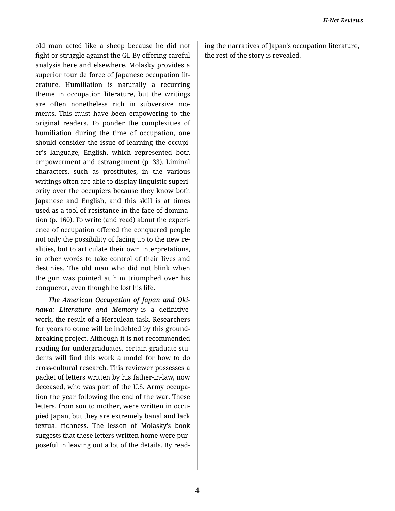old man acted like a sheep because he did not fight or struggle against the GI. By offering careful analysis here and elsewhere, Molasky provides a superior tour de force of Japanese occupation lit‐ erature. Humiliation is naturally a recurring theme in occupation literature, but the writings are often nonetheless rich in subversive mo‐ ments. This must have been empowering to the original readers. To ponder the complexities of humiliation during the time of occupation, one should consider the issue of learning the occupi‐ er's language, English, which represented both empowerment and estrangement (p. 33). Liminal characters, such as prostitutes, in the various writings often are able to display linguistic superi‐ ority over the occupiers because they know both Japanese and English, and this skill is at times used as a tool of resistance in the face of domina‐ tion (p. 160). To write (and read) about the experi‐ ence of occupation offered the conquered people not only the possibility of facing up to the new re‐ alities, but to articulate their own interpretations, in other words to take control of their lives and destinies. The old man who did not blink when the gun was pointed at him triumphed over his conqueror, even though he lost his life.

*The American Occupation of Japan and Oki‐ nawa: Literature and Memory* is a definitive work, the result of a Herculean task. Researchers for years to come will be indebted by this ground‐ breaking project. Although it is not recommended reading for undergraduates, certain graduate stu‐ dents will find this work a model for how to do cross-cultural research. This reviewer possesses a packet of letters written by his father-in-law, now deceased, who was part of the U.S. Army occupa‐ tion the year following the end of the war. These letters, from son to mother, were written in occu‐ pied Japan, but they are extremely banal and lack textual richness. The lesson of Molasky's book suggests that these letters written home were pur‐ poseful in leaving out a lot of the details. By read‐

ing the narratives of Japan's occupation literature, the rest of the story is revealed.